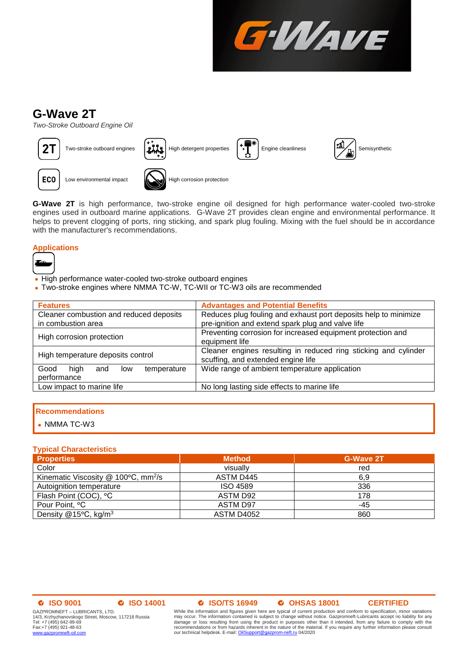

# **G-Wave 2T**

*Two-Stroke Outboard Engine Oil*



**ECO** 

Two-stroke outboard engines  $\|\cdot\|$  High detergent properties  $\|\cdot\|$  Engine cleanliness  $\|\cdot\|$  Semisynthetic



Low environmental impact **High corrosion protection** 

**G-Wave 2T** is high performance, two-stroke engine oil designed for high performance water-cooled two-stroke engines used in outboard marine applications. G-Wave 2T provides clean engine and environmental performance. It helps to prevent clogging of ports, ring sticking, and spark plug fouling. Mixing with the fuel should be in accordance with the manufacturer's recommendations.

# **Applications**



- High performance water-cooled two-stroke outboard engines
- Two-stroke engines where NMMA TC-W, TC-WII or TC-W3 oils are recommended

| <b>Features</b>                                          | <b>Advantages and Potential Benefits</b>                                                              |  |
|----------------------------------------------------------|-------------------------------------------------------------------------------------------------------|--|
| Cleaner combustion and reduced deposits                  | Reduces plug fouling and exhaust port deposits help to minimize                                       |  |
| in combustion area                                       | pre-ignition and extend spark plug and valve life                                                     |  |
| High corrosion protection                                | Preventing corrosion for increased equipment protection and<br>equipment life                         |  |
| High temperature deposits control                        | Cleaner engines resulting in reduced ring sticking and cylinder<br>scuffing, and extended engine life |  |
| hiah<br>Good<br>temperature<br>low<br>and<br>performance | Wide range of ambient temperature application                                                         |  |
| Low impact to marine life                                | No long lasting side effects to marine life                                                           |  |
|                                                          |                                                                                                       |  |

# **Recommendations**

• NMMA TC-W3

# **Typical Characteristics**

| <b>Properties</b>                               | <b>Method</b>   | <b>G-Wave 2T</b> |
|-------------------------------------------------|-----------------|------------------|
| Color                                           | visually        | red              |
| Kinematic Viscosity @ 100°C, mm <sup>2</sup> /s | ASTM D445       | 6.9              |
| Autoignition temperature                        | <b>ISO 4589</b> | 336              |
| Flash Point (COC), °C                           | ASTM D92        | 178              |
| Pour Point, °C                                  | ASTM D97        | -45              |
| Density $@15°C$ , kg/m <sup>3</sup>             | ASTM D4052      | 860              |

### **ISO 9001 ISO 14001 ISO/TS 16949 OHSAS 18001 CERTIFIED**

GAZPROMNEFT – LUBRICANTS, LTD. 14/3, Krzhyzhanovskogo Street, Moscow, 117218 Russia Tel: +7 (495) 642-99-69 Fax:+7 (495) 921-48-63<br>www.qazpromneft-oil.com www.gazpron

While the information and figures given here are typical of current production and conform to specification, minor variations may occur. The information contained is subject to change without notice. Gazpromneft-Lubricants accept no liability for any<br>damage or loss resulting from using the product in purposes other than it intended, from any fail our technical helpdesk. E-mail[: OilSupport@gazprom-neft.ru](mailto:OilSupport@gazprom-neft.ru) 04/2020